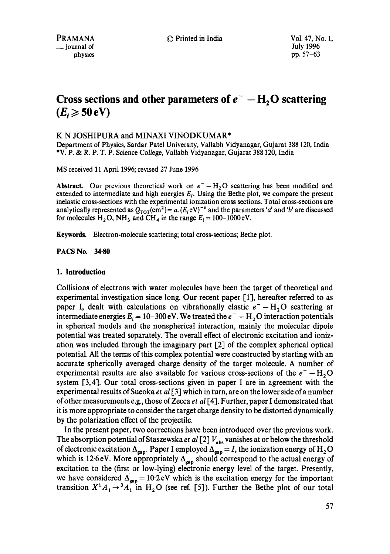# **Cross sections and other parameters of**  $e^-$  **– H<sub>2</sub>O scattering**  $(E_i \geqslant 50 \text{ eV})$

# K N JOSHIPURA and MINAXI VINODKUMAR\*

Department of Physics, Sardar Patel University, Vallabh Vidyanagar, Gujarat 388 120, India \*V. P. & R. P. T. P. Science College, Vallabh Vidyanagar, Gujarat 388120, India

MS received 11 April 1996; revised 27 June 1996

**Abstract.** Our previous theoretical work on  $e^- - H_2O$  scattering has been modified and extended to intermediate and high energies  $E_i$ . Using the Bethe plot, we compare the present inelastic cross-sections with the experimental ionization cross sections. Total cross-sections are analytically represented as  $Q_{\text{TOT}}(cm^2) = a$ . ( $E_i$ eV)<sup>-b</sup> and the parameters 'a' and 'b' are discussed for molecules  $H_2O$ , NH<sub>3</sub> and CH<sub>4</sub> in the range  $E_i = 100-1000$  eV.

**Keywords.** Electron-molecule scattering; total cross-sections; Bethe plot.

**PACS No. 34-80** 

# **1. Introduction**

Collisions of electrons with water molecules have been the target of theoretical and experimental investigation since long. Our recent paper [1], hereafter referred to as paper I, dealt with calculations on vibrationally elastic  $e^- - H_2O$  scattering at intermediate energies  $E_i = 10-300 \text{ eV}$ . We treated the  $e^- - H_2 O$  interaction potentials in spherical models and the nonspherical interaction, mainly the molecular dipole potential was treated separately. The overall effect of electronic excitation and ionization was included through the imaginary part 1,2] of the complex spherical optical potential. All the terms of this complex potential were constructed by starting with an accurate spherically averaged charge density of the target molecule. A number of experimental results are also available for various cross-sections of the  $e^- - H_2O$ system [3,4]. Our total cross-sections given in paper I are in agreement with the experimental results of Sueoka *et al* [3] which in turn, are on the lower side of a number of other measurements e.g., those of Zecca *et al* [4]. Further, paper I demonstrated that it is more appropriate to consider the target charge density to be distorted dynamically by the polarization effect of the projectile.

In the present paper, two corrections have been introduced over the previous work. The absorption potential of Staszewska *et al* [2]  $V_{\text{abs}}$  vanishes at or below the threshold of electronic excitation  $\Delta_{\text{gap}}$ . Paper I employed  $\Delta_{\text{gap}} = I$ , the ionization energy of H<sub>2</sub>O which is 12.6 eV. More appropriately  $\Delta_{\text{gap}}$  should correspond to the actual energy of excitation to the (first or low-lying) electronic energy level of the target. Presently, we have considered  $\Delta_{\rm{gap}} = 10.2 \text{ eV}$  which is the excitation energy for the important transition  $X^1A_1 \rightarrow 3A_1$  in H<sub>2</sub>O (see ref. [5]). Further the Bethe plot of our total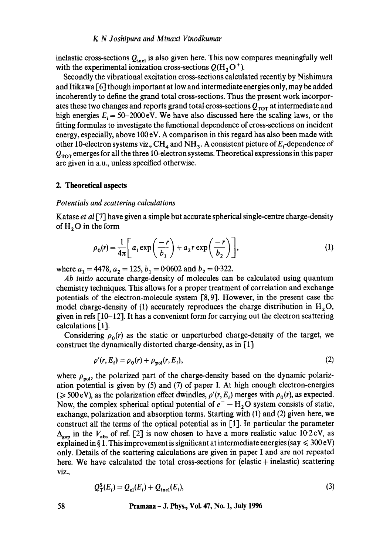### *K N Joshipura and Minaxi Vinodkumar*

inelastic cross-sections  $Q_{\text{inel}}$  is also given here. This now compares meaningfully well with the experimental ionization cross-sections  $Q(H, O^+)$ .

Secondly the vibrational excitation cross-sections calculated recently by Nishimura and Itikawa [6] though important at low and intermediate energies only, may be added incoherently to define the grand total cross-sections. Thus the present work incorporates these two changes and reports grand total cross-sections  $Q_{\text{TOT}}$  at intermediate and high energies  $E_i = 50-2000$  eV. We have also discussed here the scaling laws, or the fitting formulas to investigate the functional dependence of cross-sections on incident energy, especially, above 100 eV. A comparison in this regard has also been made with other 10-electron systems viz.,  $CH_4$  and  $NH_3$ . A consistent picture of  $E_i$ -dependence of  $Q_{\text{TOT}}$  emerges for all the three 10-electron systems. Theoretical expressions in this paper are given in a.u., unless specified otherwise.

# **2. Theoretical aspects**

## *Potentials and scattering calculations*

Katase *et al* [7] have given a simple but accurate spherical single-centre charge-density of  $H_2O$  in the form

$$
\rho_0(r) = \frac{1}{4\pi} \left[ a_1 \exp\left(\frac{-r}{b_1}\right) + a_2 r \exp\left(\frac{-r}{b_2}\right) \right],\tag{1}
$$

where  $a_1 = 4478$ ,  $a_2 = 125$ ,  $b_1 = 0.0602$  and  $b_2 = 0.322$ .

*Ab initio* accurate charge-density of molecules can be calculated using quantum chemistry techniques. This allows for a proper treatment of correlation and exchange potentials of the electron-molecule system  $[8, 9]$ . However, in the present case the model charge-density of (1) accurately reproduces the charge distribution in  $H_2O$ , given in refs  $[10-12]$ . It has a convenient form for carrying out the electron scattering calculations [1].

Considering  $\rho_0(r)$  as the static or unperturbed charge-density of the target, we construct the dynamically distorted charge-density, as in [1]

$$
\rho'(r, E_i) = \rho_0(r) + \rho_{pol}(r, E_i),\tag{2}
$$

where  $\rho_{\text{pol}}$ , the polarized part of the charge-density based on the dynamic polarization potential is given by (5) and (7) of paper I. At high enough electron-energies ( $\geq$  500 eV), as the polarization effect dwindles,  $\rho'(r, E_i)$  merges with  $\rho_0(r)$ , as expected. Now, the complex spherical optical potential of  $e^- - H_2 O$  system consists of static, exchange, polarization and absorption terms. Starting with (1) and (2) given here, we construct all the terms of the optical potential as in [1]. In particular the parameter  $\Delta_{\rm gan}$  in the  $V_{\rm abs}$  of ref. [2] is now chosen to have a more realistic value 10.2 eV, as explained in § 1. This improvement is significant at intermediate energies (say  $\leq 300 \text{ eV}$ ) only. Details of the scattering calculations are given in paper I and are not repeated here. We have calculated the total cross-sections for (elastic + inelastic) scattering viz.,

$$
Q_{\rm T}^{\rm S}(E_i) = Q_{\rm el}(E_i) + Q_{\rm inel}(E_i),\tag{3}
$$

#### **58 Pramana - J. Phys., Vol. 47, No. 1, July 1996**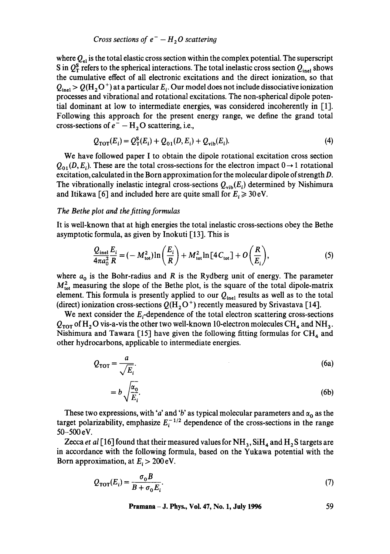*Cross sections of*  $e^- - H_2O$  *scattering* 

where  $Q_{\rm al}$  is the total elastic cross section within the complex potential. The superscript S in  $Q_T^s$  refers to the spherical interactions. The total inelastic cross section  $Q_{\text{inel}}$  shows the cumulative effect of all electronic excitations and the direct ionization, so that  $Q_{\text{inel}} > Q(H_2 O^+)$  at a particular  $E_i$ . Our model does not include dissociative ionization processes and vibrational and rotational excitations. The non-spherical dipole potential dominant at low to intermediate energies, was considered incoherently in [1]. Following this approach for the present energy range, we define the grand total cross-sections of  $e^-$  – H<sub>2</sub>O scattering, i.e.,

$$
Q_{\text{TOT}}(E_i) = Q_{\text{T}}^{S}(E_i) + Q_{01}(D, E_i) + Q_{\text{vib}}(E_i). \tag{4}
$$

We have followed paper I to obtain the dipole rotational excitation cross section  $Q_{01}(D, E_i)$ . These are the total cross-sections for the electron impact  $0 \rightarrow 1$  rotational excitation, calculated in the Born approximation for the molecular dipole of strength D. The vibrationally inelastic integral cross-sections  $Q_{vib}(E_i)$  determined by Nishimura and Itikawa [6] and included here are quite small for  $E_i \ge 30 \text{ eV}$ .

# *The Bethe plot and the fitting formulas*

It is well-known that at high energies the total inelastic cross-sections obey the Bethe asymptotic formula, as given by Inokuti  $\lceil 13 \rceil$ . This is

$$
\frac{Q_{\text{inel}}}{4\pi a_0^2} \frac{E_i}{R} = (-M_{\text{tot}}^2) \ln\left(\frac{E_i}{R}\right) + M_{\text{tot}}^2 \ln\left[4C_{\text{tot}}\right] + O\left(\frac{R}{E_i}\right),\tag{5}
$$

where  $a_0$  is the Bohr-radius and R is the Rydberg unit of energy. The parameter  $M_{\text{tot}}^2$  measuring the slope of the Bethe plot, is the square of the total dipole-matrix element. This formula is presently applied to our  $Q_{\text{inel}}$  results as well as to the total (direct) ionization cross-sections  $Q(H_2O^+)$  recently measured by Srivastava [14].

We next consider the  $E_i$ -dependence of the total electron scattering cross-sections  $Q_{\text{TOT}}$  of H<sub>2</sub>O vis-a-vis the other two well-known 10-electron molecules CH<sub>4</sub> and NH<sub>3</sub>. Nishimura and Tawara [15] have given the following fitting formulas for  $\text{CH}_4$  and other hydrocarbons, applicable to intermediate energies.

$$
Q_{\text{TOT}} = \frac{a}{\sqrt{E_i}}.\tag{6a}
$$

$$
=b\sqrt{\frac{\alpha_0}{E_i}}.\tag{6b}
$$

These two expressions, with 'a' and 'b' as typical molecular parameters and  $\alpha_0$  as the target polarizability, emphasize  $E_i^{-1/2}$  dependence of the cross-sections in the range 50-500eV.

Zecca *et al* [16] found that their measured values for  $NH_3$ ,  $SiH_4$  and  $H_2S$  targets are in accordance with the following formula, based on the Yukawa potential with the Born approximation, at  $E_i > 200 \text{ eV}$ .

$$
Q_{\text{TOT}}(E_i) = \frac{\sigma_0 B}{B + \sigma_0 E_i}.\tag{7}
$$

**Pramana- J. Phys., Vol. 47, No. 1, July 1996 59**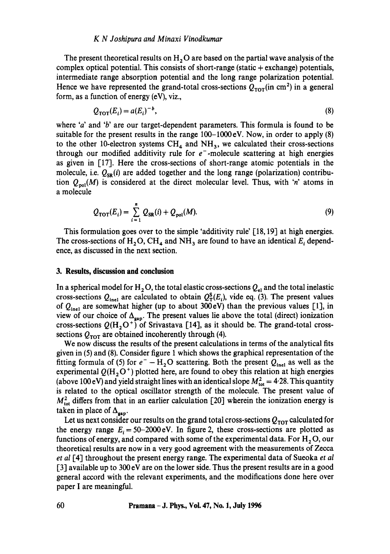## *K N Joshipura and Minaxi Vinodkumar*

The present theoretical results on  $H<sub>2</sub>O$  are based on the partial wave analysis of the complex optical potential. This consists of short-range (static  $+$  exchange) potentials, intermediate range absorption potential and the long range polarization potential. Hence we have represented the grand-total cross-sections  $Q_{\text{tot}}$  (in cm<sup>2</sup>) in a general form, as a function of energy (eV), viz.,

$$
Q_{\text{TOT}}(E_i) = a(E_i)^{-b},\tag{8}
$$

where 'a' and 'b' are our target-dependent parameters. This formula is found to be suitable for the present results in the range  $100-1000$  eV. Now, in order to apply (8) to the other 10-electron systems  $CH_4$  and  $NH_3$ , we calculated their cross-sections through our modified additivity rule for  $e^-$ -molecule scattering at high energies as given in [17]. Here the cross-sections of short-range atomic potentials in the molecule, i.e.  $Q_{SR}(i)$  are added together and the long range (polarization) contribution  $Q_{\text{pol}}(M)$  is considered at the direct molecular level. Thus, with 'n' atoms in a molecule

$$
Q_{\text{TOT}}(E_i) = \sum_{i=1}^{n} Q_{\text{SR}}(i) + Q_{\text{pol}}(M). \tag{9}
$$

This formulation goes over to the simple 'additivity rule' [18, 19] at high energies. The cross-sections of  $H_2O$ , CH<sub>4</sub> and NH<sub>3</sub> are found to have an identical  $E_i$  dependence, as discussed in the next section.

## **3. Results, discussion and conclusion**

In a spherical model for  $H_2O$ , the total elastic cross-sections  $Q_{el}$  and the total inelastic cross-sections  $Q_{\text{inel}}$  are calculated to obtain  $Q_T^S(E_i)$ , vide eq. (3). The present values of  $Q_{\text{inel}}$  are somewhat higher (up to about 300eV) than the previous values [1], in view of our choice of  $\Delta_{\text{gap}}$ . The present values lie above the total (direct) ionization cross-sections  $Q(H_2O^+)$  of Srivastava [14], as it should be. The grand-total crosssections  $Q_{\text{TOT}}$  are obtained incoherently through (4).

We now discuss the results of the present calculations in terms of the analytical fits given in (5) and (8). Consider figure 1 which shows the graphical representation of the fitting formula of (5) for  $e^- - H_2O$  scattering. Both the present  $Q_{\text{inel}}$  as well as the experimental  $Q(H_2O^+)$  plotted here, are found to obey this relation at high energies (above 100 eV) and yield straight lines with an identical slope  $M_{\text{tot}}^2 = 4.28$ . This quantity is related to the optical oscillator strength of the molecule. The present value of  $M_{\text{tot}}^2$  differs from that in an earlier calculation [20] wherein the ionization energy is taken in place of  $\Delta_{\rm gap}$ .

Let us next consider our results on the grand total cross-sections  $Q_{\text{TOT}}$  calculated for the energy range  $E_i = 50-2000$  eV. In figure 2, these cross-sections are plotted as functions of energy, and compared with some of the experimental data. For  $H_2O$ , our theoretical results are now in a very good agreement with the measurements of Zecea *et al* [4] throughout the present energy range. The experimental data of Sueoka *et al*  [3] available up to 300 eV are on the lower side. Thus the present results are in a good general accord with the relevant experiments, and the modifications done here over paper I are meaningful.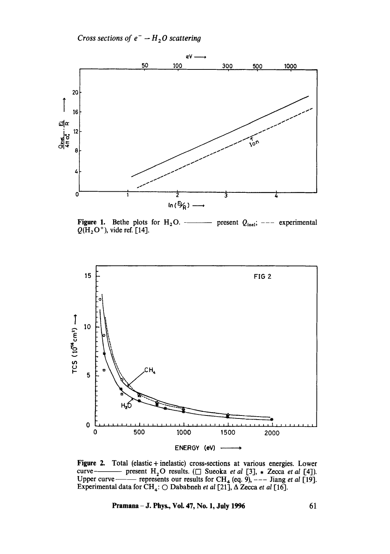*Cross sections of*  $e^- - H_2O$  *scattering* 



**Figure 1.** Bethe plots for H20. present Qincl; --- experimental  $Q(H<sub>2</sub>O<sup>+</sup>)$ , vide ref. [14].



Figure 2. Total (elastic + inelastic) cross-sections at various energies. Lower curve – present  $H_2O$  results. ( $\Box$  Sueoka *et al* [3],  $\ast$  Zecca *et al* [4]). Upper curve —— represents our results for  $CH_4$  (eq. 9),  $---$  Jiang *et al* [19]. Experimental data for  $\text{CH}_4$ :  $\bigcirc$  Dababneh *et al* [21],  $\Delta$  Zecca *et al* [16].

**Pramana – J. Phys., Vol. 47, No. 1, July 1996** 61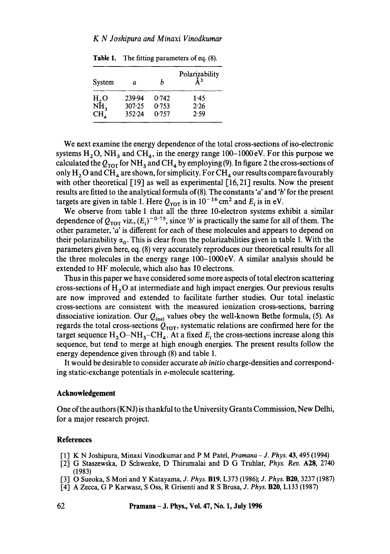| System                    | a      | h     | Polarizability<br>$\lambda^3$ |
|---------------------------|--------|-------|-------------------------------|
|                           | 239.94 | 0.742 | 1.45                          |
| $H_2O$<br>NH <sub>3</sub> | 307.25 | 0.753 | 2.26                          |
| $CH_{4}$                  | 352.24 | 0.757 | 2.59                          |

Table 1. The fitting parameters of eq. (8).

We next examine the energy *dependence* of the total cross-sections of iso-electronic systems  $H_2O$ , NH<sub>3</sub> and CH<sub>4</sub>, in the energy range 100–1000 eV. For this purpose we calculated the  $Q_{\text{TOT}}$  for NH<sub>3</sub> and CH<sub>4</sub> by employing (9). In figure 2 the cross-sections of only  $H_2O$  and CH<sub>4</sub> are shown, for simplicity. For CH<sub>4</sub> our results compare favourably with other theoretical [19] as well as experimental [16, 21] results. Now the present results are fitted to the analytical formula of(8). The constants 'a' and 'b' for the present targets are given in table 1. Here  $Q_{\text{TOT}}$  is in  $10^{-16}$  cm<sup>2</sup> and  $E_i$  is in eV.

We observe from table 1 that all the three 10-electron systems exhibit a similar dependence of  $Q_{\text{TOT}}$  viz.,  $(E_i)^{-0.75}$ , since 'b' is practically the same for all of them. The other parameter, 'a' is different for each of these molecules and appears to depend on their polarizability  $\alpha_0$ . This is clear from the polarizabilities given in table 1. With the parameters given here, eq. (8) very accurately reproduces our theoretical results for all the three molecules in the energy range 100-1000eV. A similar analysis should be extended to HF molecule, which also has 10 electrons.

Thus in this paper we have considered some more aspects of total electron scattering cross-sections of  $H<sub>2</sub>O$  at intermediate and high impact energies. Our previous results are now improved and extended to facilitate further studies. Our total inelastic cross-sections are consistent with the measured ionization cross-sections, barring dissociative ionization. Our  $Q_{\text{inel}}$  values obey the well-known Bethe formula, (5). As regards the total cross-sections  $Q_{\text{TOT}}$ , systematic relations are confirmed here for the target sequence  $H_2O-NH_3-CH_4$ . At a fixed  $E_i$ , the cross-sections increase along this sequence, but tend to merge at high enough energies. The present results follow the energy dependence given through (8) and table 1.

It would be desirable to consider accurate *ab initio* charge-densities and corresponding static-exchange potentials in e-molecule scattering.

## **Acknowledgement**

One of the authors (KNJ) is thankful to the University Grants Commission, New Delhi, for a major research project.

# **References**

- [1] K N Joshipura, Minaxi Vinodkumar and P M Patel, *Pramana J. Phys.* 43, 495 (1994)
- [2] G Staszewska, D Schwenke, D Thirumalai and D G Truhlar, *Phys. Rev.* A28, 2740 (1983)
- [3] O Sueoka, S Moil and Y Katayama, *J. Phys.* B19, L373 (1986); *J. Phys.* B20, 3237 (1987)
- [4] A Zecca, G P Karwasz, S Oss, R Grisenti and R S Brusa, *J. Phys.* B20, L133 (1987)